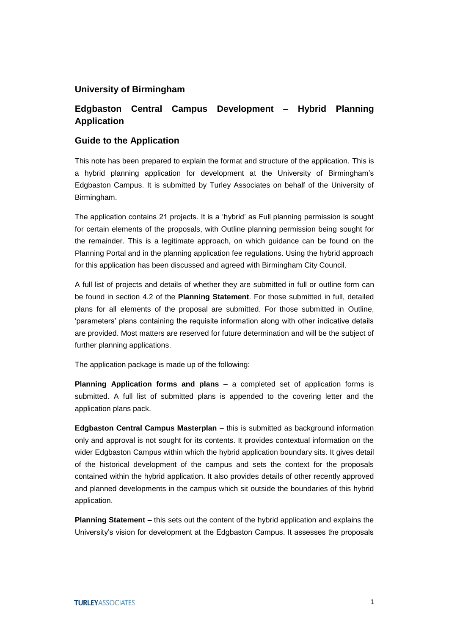## **University of Birmingham**

## **Edgbaston Central Campus Development – Hybrid Planning Application**

## **Guide to the Application**

This note has been prepared to explain the format and structure of the application. This is a hybrid planning application for development at the University of Birmingham's Edgbaston Campus. It is submitted by Turley Associates on behalf of the University of Birmingham.

The application contains 21 projects. It is a 'hybrid' as Full planning permission is sought for certain elements of the proposals, with Outline planning permission being sought for the remainder. This is a legitimate approach, on which guidance can be found on the Planning Portal and in the planning application fee regulations. Using the hybrid approach for this application has been discussed and agreed with Birmingham City Council.

A full list of projects and details of whether they are submitted in full or outline form can be found in section 4.2 of the **Planning Statement**. For those submitted in full, detailed plans for all elements of the proposal are submitted. For those submitted in Outline, 'parameters' plans containing the requisite information along with other indicative details are provided. Most matters are reserved for future determination and will be the subject of further planning applications.

The application package is made up of the following:

**Planning Application forms and plans** – a completed set of application forms is submitted. A full list of submitted plans is appended to the covering letter and the application plans pack.

**Edgbaston Central Campus Masterplan** – this is submitted as background information only and approval is not sought for its contents. It provides contextual information on the wider Edgbaston Campus within which the hybrid application boundary sits. It gives detail of the historical development of the campus and sets the context for the proposals contained within the hybrid application. It also provides details of other recently approved and planned developments in the campus which sit outside the boundaries of this hybrid application.

**Planning Statement** – this sets out the content of the hybrid application and explains the University's vision for development at the Edgbaston Campus. It assesses the proposals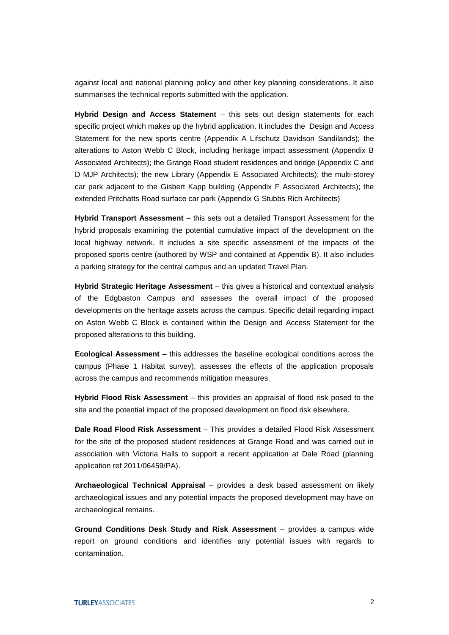against local and national planning policy and other key planning considerations. It also summarises the technical reports submitted with the application.

**Hybrid Design and Access Statement** – this sets out design statements for each specific project which makes up the hybrid application. It includes the Design and Access Statement for the new sports centre (Appendix A Lifschutz Davidson Sandilands); the alterations to Aston Webb C Block, including heritage impact assessment (Appendix B Associated Architects); the Grange Road student residences and bridge (Appendix C and D MJP Architects); the new Library (Appendix E Associated Architects); the multi-storey car park adjacent to the Gisbert Kapp building (Appendix F Associated Architects); the extended Pritchatts Road surface car park (Appendix G Stubbs Rich Architects)

**Hybrid Transport Assessment** – this sets out a detailed Transport Assessment for the hybrid proposals examining the potential cumulative impact of the development on the local highway network. It includes a site specific assessment of the impacts of the proposed sports centre (authored by WSP and contained at Appendix B). It also includes a parking strategy for the central campus and an updated Travel Plan.

**Hybrid Strategic Heritage Assessment** – this gives a historical and contextual analysis of the Edgbaston Campus and assesses the overall impact of the proposed developments on the heritage assets across the campus. Specific detail regarding impact on Aston Webb C Block is contained within the Design and Access Statement for the proposed alterations to this building.

**Ecological Assessment** – this addresses the baseline ecological conditions across the campus (Phase 1 Habitat survey), assesses the effects of the application proposals across the campus and recommends mitigation measures.

**Hybrid Flood Risk Assessment** – this provides an appraisal of flood risk posed to the site and the potential impact of the proposed development on flood risk elsewhere.

**Dale Road Flood Risk Assessment** – This provides a detailed Flood Risk Assessment for the site of the proposed student residences at Grange Road and was carried out in association with Victoria Halls to support a recent application at Dale Road (planning application ref 2011/06459/PA).

**Archaeological Technical Appraisal** – provides a desk based assessment on likely archaeological issues and any potential impacts the proposed development may have on archaeological remains.

**Ground Conditions Desk Study and Risk Assessment** – provides a campus wide report on ground conditions and identifies any potential issues with regards to contamination.